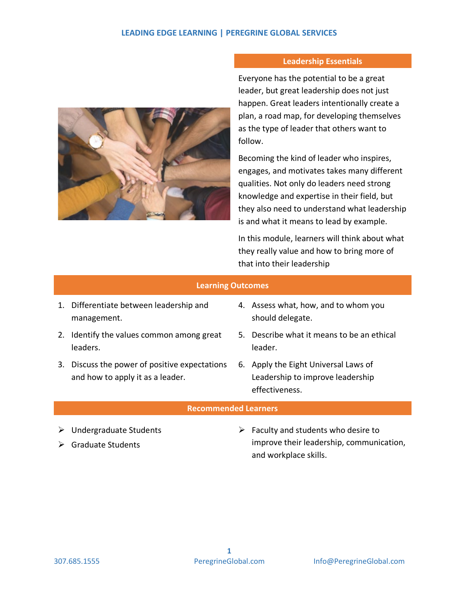## **LEADING EDGE LEARNING | PEREGRINE GLOBAL SERVICES**



## **Leadership Essentials**

Everyone has the potential to be a great leader, but great leadership does not just happen. Great leaders intentionally create a plan, a road map, for developing themselves as the type of leader that others want to follow.

Becoming the kind of leader who inspires, engages, and motivates takes many different qualities. Not only do leaders need strong knowledge and expertise in their field, but they also need to understand what leadership is and what it means to lead by example.

In this module, learners will think about what they really value and how to bring more of that into their leadership

|                             | <b>Learning Outcomes</b>                                                       |   |                                                                                            |  |  |  |  |  |  |  |
|-----------------------------|--------------------------------------------------------------------------------|---|--------------------------------------------------------------------------------------------|--|--|--|--|--|--|--|
|                             | 1. Differentiate between leadership and<br>management.                         |   | 4. Assess what, how, and to whom you<br>should delegate.                                   |  |  |  |  |  |  |  |
|                             | 2. Identify the values common among great<br>leaders.                          |   | 5. Describe what it means to be an ethical<br>leader.                                      |  |  |  |  |  |  |  |
| 3.                          | Discuss the power of positive expectations<br>and how to apply it as a leader. |   | 6. Apply the Eight Universal Laws of<br>Leadership to improve leadership<br>effectiveness. |  |  |  |  |  |  |  |
| <b>Recommended Learners</b> |                                                                                |   |                                                                                            |  |  |  |  |  |  |  |
|                             | $\triangleright$ Undergraduate Students                                        | ➤ | Faculty and students who desire to                                                         |  |  |  |  |  |  |  |

Scraduate Students

 Faculty and students who desire to improve their leadership, communication, and workplace skills.